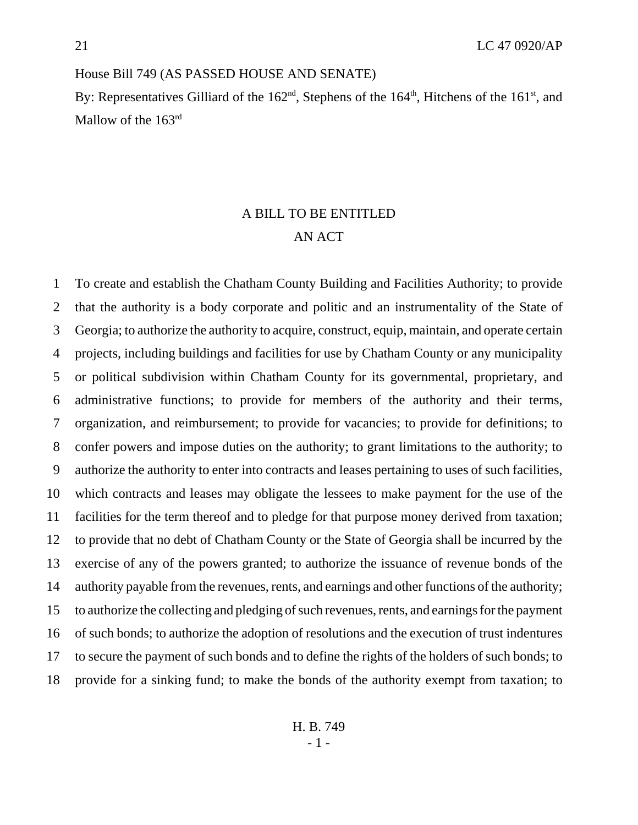House Bill 749 (AS PASSED HOUSE AND SENATE) By: Representatives Gilliard of the  $162<sup>nd</sup>$ , Stephens of the  $164<sup>th</sup>$ , Hitchens of the  $161<sup>st</sup>$ , and Mallow of the 163<sup>rd</sup>

# A BILL TO BE ENTITLED AN ACT

 To create and establish the Chatham County Building and Facilities Authority; to provide that the authority is a body corporate and politic and an instrumentality of the State of Georgia; to authorize the authority to acquire, construct, equip, maintain, and operate certain projects, including buildings and facilities for use by Chatham County or any municipality or political subdivision within Chatham County for its governmental, proprietary, and administrative functions; to provide for members of the authority and their terms, organization, and reimbursement; to provide for vacancies; to provide for definitions; to confer powers and impose duties on the authority; to grant limitations to the authority; to authorize the authority to enter into contracts and leases pertaining to uses of such facilities, which contracts and leases may obligate the lessees to make payment for the use of the facilities for the term thereof and to pledge for that purpose money derived from taxation; to provide that no debt of Chatham County or the State of Georgia shall be incurred by the exercise of any of the powers granted; to authorize the issuance of revenue bonds of the authority payable from the revenues, rents, and earnings and other functions of the authority; to authorize the collecting and pledging of such revenues, rents, and earnings for the payment of such bonds; to authorize the adoption of resolutions and the execution of trust indentures to secure the payment of such bonds and to define the rights of the holders of such bonds; to provide for a sinking fund; to make the bonds of the authority exempt from taxation; to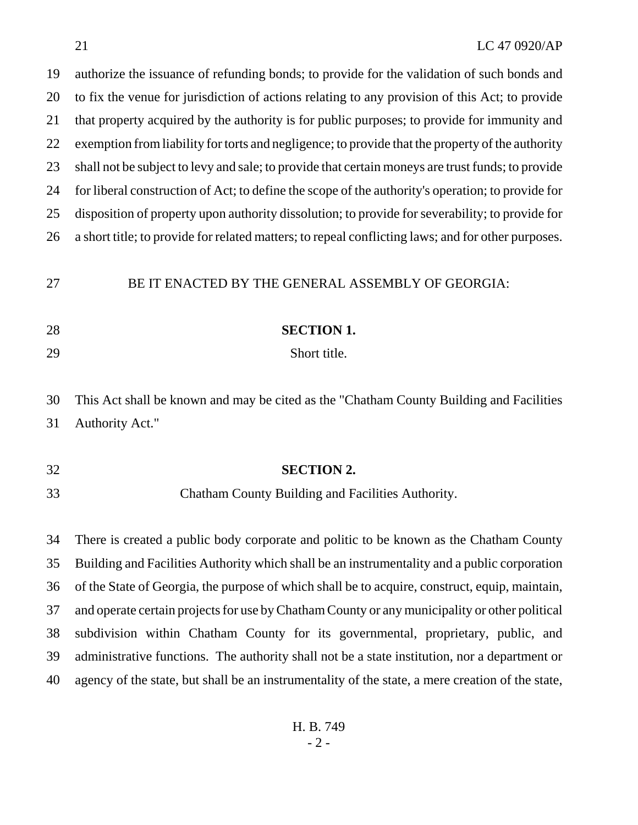| 19 | authorize the issuance of refunding bonds; to provide for the validation of such bonds and         |
|----|----------------------------------------------------------------------------------------------------|
| 20 | to fix the venue for jurisdiction of actions relating to any provision of this Act; to provide     |
| 21 | that property acquired by the authority is for public purposes; to provide for immunity and        |
| 22 | exemption from liability for torts and negligence; to provide that the property of the authority   |
| 23 | shall not be subject to levy and sale; to provide that certain moneys are trust funds; to provide  |
| 24 | for liberal construction of Act; to define the scope of the authority's operation; to provide for  |
| 25 | disposition of property upon authority dissolution; to provide for severability; to provide for    |
| 26 | a short title; to provide for related matters; to repeal conflicting laws; and for other purposes. |
| 27 | BE IT ENACTED BY THE GENERAL ASSEMBLY OF GEORGIA:                                                  |
| 28 | <b>SECTION 1.</b>                                                                                  |
| 29 | Short title.                                                                                       |
|    |                                                                                                    |
| 30 | This Act shall be known and may be cited as the "Chatham County Building and Facilities            |
| 31 | Authority Act."                                                                                    |
|    |                                                                                                    |
| 32 | <b>SECTION 2.</b>                                                                                  |
| 33 | Chatham County Building and Facilities Authority.                                                  |
| 34 | There is created a public body corporate and politic to be known as the Chatham County             |
| 35 | Building and Facilities Authority which shall be an instrumentality and a public corporation       |
| 36 | of the State of Georgia, the purpose of which shall be to acquire, construct, equip, maintain,     |
| 37 | and operate certain projects for use by Chatham County or any municipality or other political      |
| 38 | subdivision within Chatham County for its governmental, proprietary, public, and                   |
| 39 |                                                                                                    |
|    | administrative functions. The authority shall not be a state institution, nor a department or      |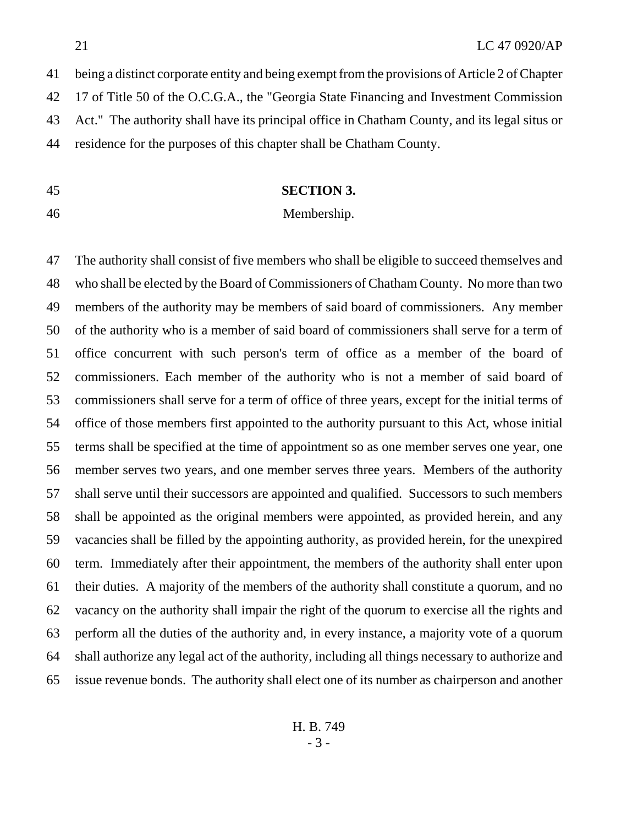being a distinct corporate entity and being exempt from the provisions of Article 2 of Chapter 17 of Title 50 of the O.C.G.A., the "Georgia State Financing and Investment Commission Act." The authority shall have its principal office in Chatham County, and its legal situs or residence for the purposes of this chapter shall be Chatham County.

## **SECTION 3.**

Membership.

 The authority shall consist of five members who shall be eligible to succeed themselves and who shall be elected by the Board of Commissioners of Chatham County. No more than two members of the authority may be members of said board of commissioners. Any member of the authority who is a member of said board of commissioners shall serve for a term of office concurrent with such person's term of office as a member of the board of commissioners. Each member of the authority who is not a member of said board of commissioners shall serve for a term of office of three years, except for the initial terms of office of those members first appointed to the authority pursuant to this Act, whose initial terms shall be specified at the time of appointment so as one member serves one year, one member serves two years, and one member serves three years. Members of the authority shall serve until their successors are appointed and qualified. Successors to such members shall be appointed as the original members were appointed, as provided herein, and any vacancies shall be filled by the appointing authority, as provided herein, for the unexpired term. Immediately after their appointment, the members of the authority shall enter upon their duties. A majority of the members of the authority shall constitute a quorum, and no vacancy on the authority shall impair the right of the quorum to exercise all the rights and perform all the duties of the authority and, in every instance, a majority vote of a quorum shall authorize any legal act of the authority, including all things necessary to authorize and issue revenue bonds. The authority shall elect one of its number as chairperson and another

> H. B. 749 - 3 -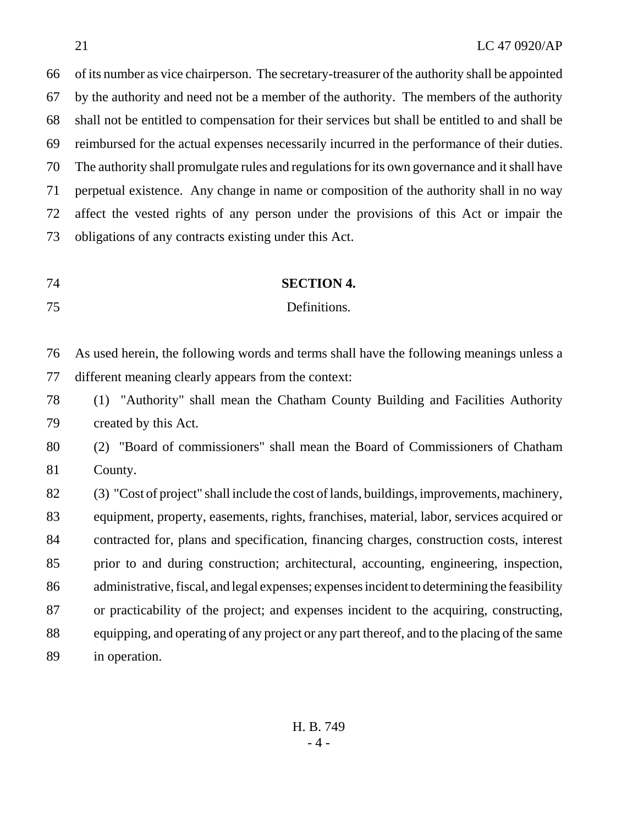of its number as vice chairperson. The secretary-treasurer of the authority shall be appointed by the authority and need not be a member of the authority. The members of the authority shall not be entitled to compensation for their services but shall be entitled to and shall be reimbursed for the actual expenses necessarily incurred in the performance of their duties. The authority shall promulgate rules and regulations for its own governance and it shall have perpetual existence. Any change in name or composition of the authority shall in no way affect the vested rights of any person under the provisions of this Act or impair the obligations of any contracts existing under this Act.

# **SECTION 4.**

## Definitions.

 As used herein, the following words and terms shall have the following meanings unless a different meaning clearly appears from the context:

 (1) "Authority" shall mean the Chatham County Building and Facilities Authority created by this Act.

 (2) "Board of commissioners" shall mean the Board of Commissioners of Chatham County.

 (3) "Cost of project" shall include the cost of lands, buildings, improvements, machinery, equipment, property, easements, rights, franchises, material, labor, services acquired or contracted for, plans and specification, financing charges, construction costs, interest prior to and during construction; architectural, accounting, engineering, inspection, administrative, fiscal, and legal expenses; expenses incident to determining the feasibility or practicability of the project; and expenses incident to the acquiring, constructing, equipping, and operating of any project or any part thereof, and to the placing of the same in operation.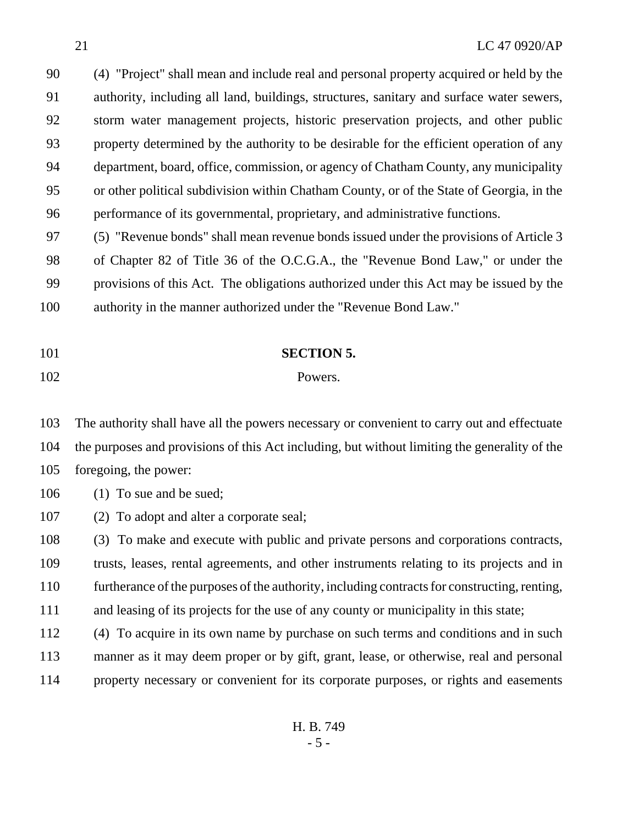(4) "Project" shall mean and include real and personal property acquired or held by the authority, including all land, buildings, structures, sanitary and surface water sewers, storm water management projects, historic preservation projects, and other public property determined by the authority to be desirable for the efficient operation of any department, board, office, commission, or agency of Chatham County, any municipality or other political subdivision within Chatham County, or of the State of Georgia, in the performance of its governmental, proprietary, and administrative functions.

 (5) "Revenue bonds" shall mean revenue bonds issued under the provisions of Article 3 of Chapter 82 of Title 36 of the O.C.G.A., the "Revenue Bond Law," or under the provisions of this Act. The obligations authorized under this Act may be issued by the authority in the manner authorized under the "Revenue Bond Law."

# **SECTION 5.**

Powers.

 The authority shall have all the powers necessary or convenient to carry out and effectuate the purposes and provisions of this Act including, but without limiting the generality of the foregoing, the power:

106 (1) To sue and be sued;

(2) To adopt and alter a corporate seal;

 (3) To make and execute with public and private persons and corporations contracts, trusts, leases, rental agreements, and other instruments relating to its projects and in furtherance of the purposes of the authority, including contracts for constructing, renting, and leasing of its projects for the use of any county or municipality in this state;

- 
- (4) To acquire in its own name by purchase on such terms and conditions and in such manner as it may deem proper or by gift, grant, lease, or otherwise, real and personal property necessary or convenient for its corporate purposes, or rights and easements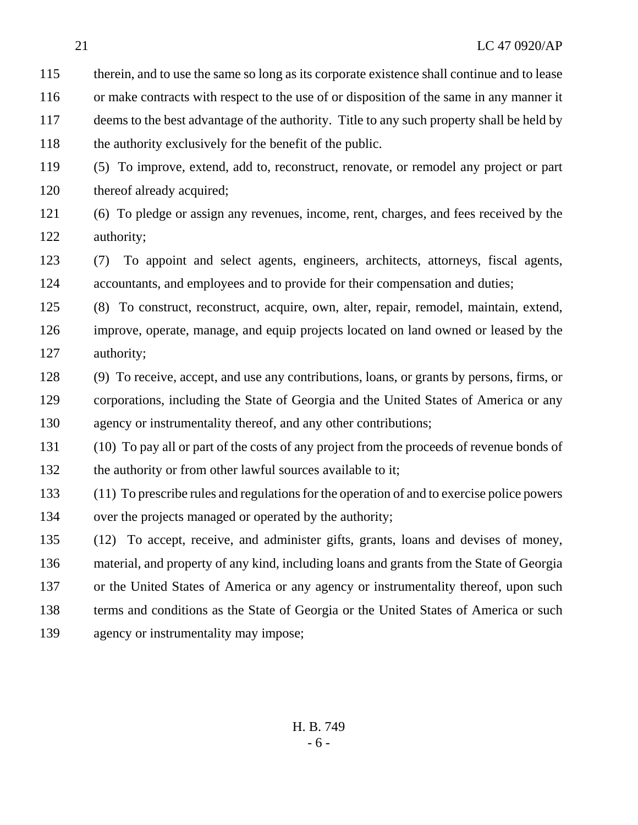115 therein, and to use the same so long as its corporate existence shall continue and to lease or make contracts with respect to the use of or disposition of the same in any manner it deems to the best advantage of the authority. Title to any such property shall be held by 118 the authority exclusively for the benefit of the public.

 (5) To improve, extend, add to, reconstruct, renovate, or remodel any project or part 120 thereof already acquired;

 (6) To pledge or assign any revenues, income, rent, charges, and fees received by the authority;

 (7) To appoint and select agents, engineers, architects, attorneys, fiscal agents, accountants, and employees and to provide for their compensation and duties;

- (8) To construct, reconstruct, acquire, own, alter, repair, remodel, maintain, extend, improve, operate, manage, and equip projects located on land owned or leased by the authority;
- (9) To receive, accept, and use any contributions, loans, or grants by persons, firms, or corporations, including the State of Georgia and the United States of America or any agency or instrumentality thereof, and any other contributions;
- (10) To pay all or part of the costs of any project from the proceeds of revenue bonds of 132 the authority or from other lawful sources available to it;
- (11) To prescribe rules and regulations for the operation of and to exercise police powers over the projects managed or operated by the authority;
- (12) To accept, receive, and administer gifts, grants, loans and devises of money, material, and property of any kind, including loans and grants from the State of Georgia or the United States of America or any agency or instrumentality thereof, upon such 138 terms and conditions as the State of Georgia or the United States of America or such agency or instrumentality may impose;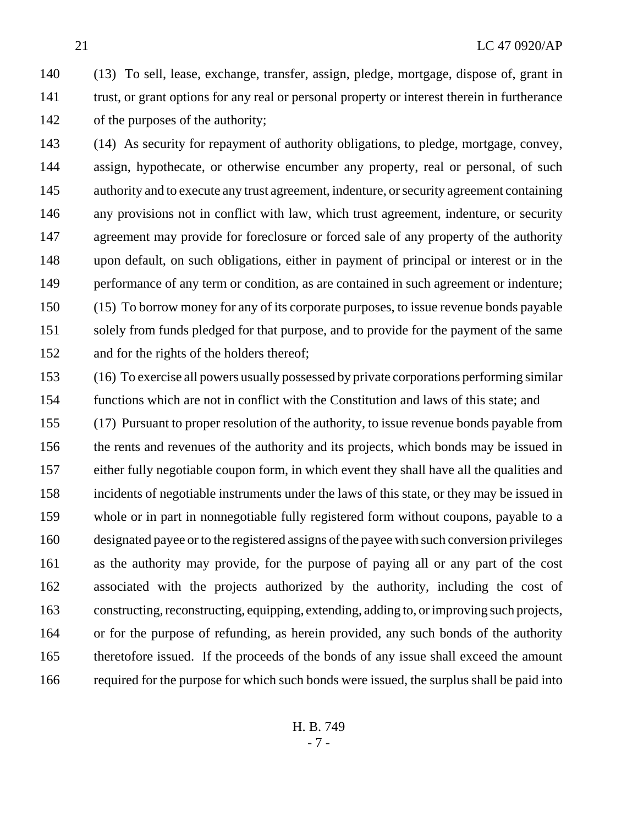(13) To sell, lease, exchange, transfer, assign, pledge, mortgage, dispose of, grant in trust, or grant options for any real or personal property or interest therein in furtherance of the purposes of the authority;

 (14) As security for repayment of authority obligations, to pledge, mortgage, convey, assign, hypothecate, or otherwise encumber any property, real or personal, of such 145 authority and to execute any trust agreement, indenture, or security agreement containing any provisions not in conflict with law, which trust agreement, indenture, or security agreement may provide for foreclosure or forced sale of any property of the authority upon default, on such obligations, either in payment of principal or interest or in the 149 performance of any term or condition, as are contained in such agreement or indenture; (15) To borrow money for any of its corporate purposes, to issue revenue bonds payable solely from funds pledged for that purpose, and to provide for the payment of the same and for the rights of the holders thereof;

 (16) To exercise all powers usually possessed by private corporations performing similar functions which are not in conflict with the Constitution and laws of this state; and (17) Pursuant to proper resolution of the authority, to issue revenue bonds payable from the rents and revenues of the authority and its projects, which bonds may be issued in either fully negotiable coupon form, in which event they shall have all the qualities and incidents of negotiable instruments under the laws of this state, or they may be issued in whole or in part in nonnegotiable fully registered form without coupons, payable to a designated payee or to the registered assigns of the payee with such conversion privileges as the authority may provide, for the purpose of paying all or any part of the cost associated with the projects authorized by the authority, including the cost of constructing, reconstructing, equipping, extending, adding to, or improving such projects, or for the purpose of refunding, as herein provided, any such bonds of the authority 165 theretofore issued. If the proceeds of the bonds of any issue shall exceed the amount required for the purpose for which such bonds were issued, the surplus shall be paid into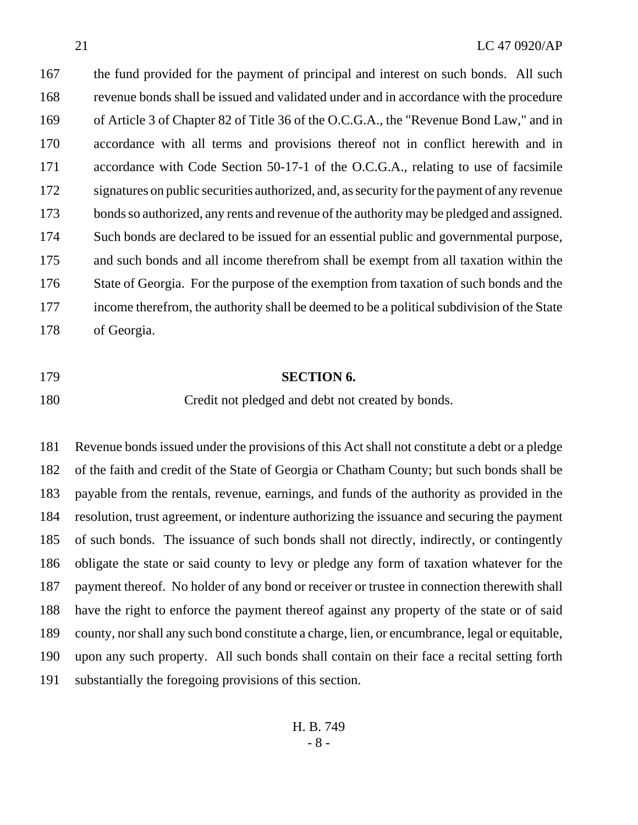167 the fund provided for the payment of principal and interest on such bonds. All such revenue bonds shall be issued and validated under and in accordance with the procedure of Article 3 of Chapter 82 of Title 36 of the O.C.G.A., the "Revenue Bond Law," and in accordance with all terms and provisions thereof not in conflict herewith and in accordance with Code Section 50-17-1 of the O.C.G.A., relating to use of facsimile signatures on public securities authorized, and, as security for the payment of any revenue bonds so authorized, any rents and revenue of the authority may be pledged and assigned. Such bonds are declared to be issued for an essential public and governmental purpose, and such bonds and all income therefrom shall be exempt from all taxation within the State of Georgia. For the purpose of the exemption from taxation of such bonds and the income therefrom, the authority shall be deemed to be a political subdivision of the State of Georgia.

# **SECTION 6.**

Credit not pledged and debt not created by bonds.

 Revenue bonds issued under the provisions of this Act shall not constitute a debt or a pledge of the faith and credit of the State of Georgia or Chatham County; but such bonds shall be payable from the rentals, revenue, earnings, and funds of the authority as provided in the resolution, trust agreement, or indenture authorizing the issuance and securing the payment of such bonds. The issuance of such bonds shall not directly, indirectly, or contingently obligate the state or said county to levy or pledge any form of taxation whatever for the payment thereof. No holder of any bond or receiver or trustee in connection therewith shall have the right to enforce the payment thereof against any property of the state or of said county, nor shall any such bond constitute a charge, lien, or encumbrance, legal or equitable, upon any such property. All such bonds shall contain on their face a recital setting forth substantially the foregoing provisions of this section.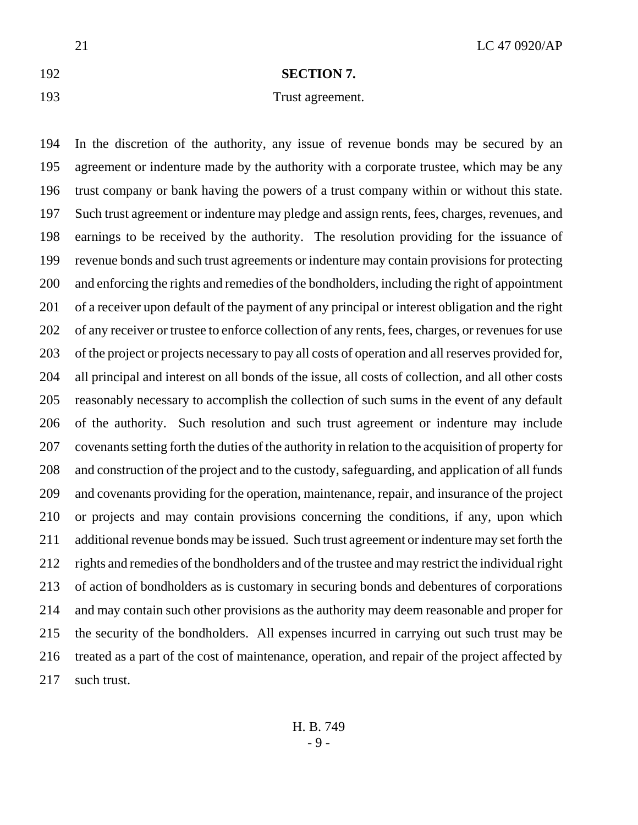# **SECTION 7.**

Trust agreement.

 In the discretion of the authority, any issue of revenue bonds may be secured by an agreement or indenture made by the authority with a corporate trustee, which may be any trust company or bank having the powers of a trust company within or without this state. Such trust agreement or indenture may pledge and assign rents, fees, charges, revenues, and earnings to be received by the authority. The resolution providing for the issuance of revenue bonds and such trust agreements or indenture may contain provisions for protecting and enforcing the rights and remedies of the bondholders, including the right of appointment of a receiver upon default of the payment of any principal or interest obligation and the right of any receiver or trustee to enforce collection of any rents, fees, charges, or revenues for use of the project or projects necessary to pay all costs of operation and all reserves provided for, all principal and interest on all bonds of the issue, all costs of collection, and all other costs reasonably necessary to accomplish the collection of such sums in the event of any default of the authority. Such resolution and such trust agreement or indenture may include covenants setting forth the duties of the authority in relation to the acquisition of property for and construction of the project and to the custody, safeguarding, and application of all funds and covenants providing for the operation, maintenance, repair, and insurance of the project or projects and may contain provisions concerning the conditions, if any, upon which additional revenue bonds may be issued. Such trust agreement or indenture may set forth the rights and remedies of the bondholders and of the trustee and may restrict the individual right of action of bondholders as is customary in securing bonds and debentures of corporations and may contain such other provisions as the authority may deem reasonable and proper for the security of the bondholders. All expenses incurred in carrying out such trust may be treated as a part of the cost of maintenance, operation, and repair of the project affected by such trust.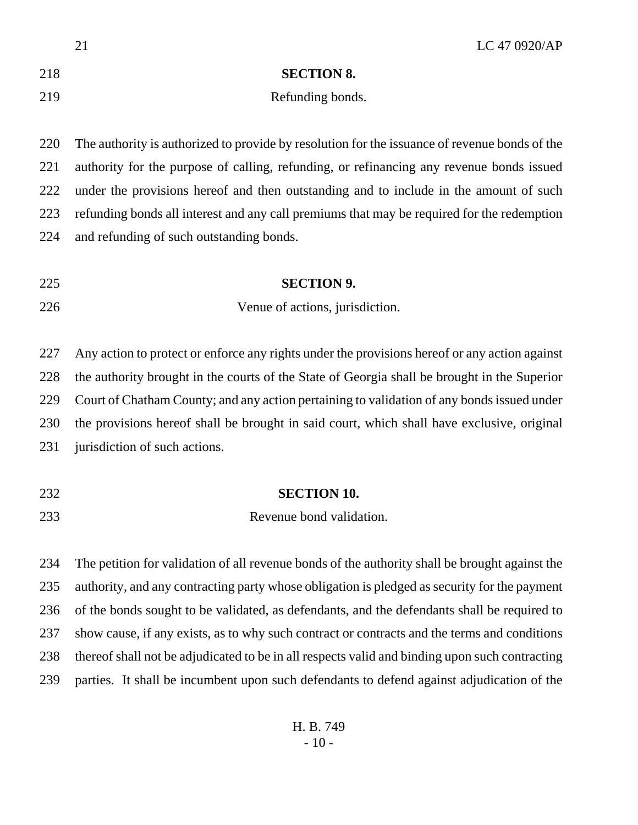|     | 21<br>LC 47 0920/AP                                                                            |
|-----|------------------------------------------------------------------------------------------------|
| 218 | <b>SECTION 8.</b>                                                                              |
| 219 | Refunding bonds.                                                                               |
|     |                                                                                                |
| 220 | The authority is authorized to provide by resolution for the issuance of revenue bonds of the  |
| 221 | authority for the purpose of calling, refunding, or refinancing any revenue bonds issued       |
| 222 | under the provisions hereof and then outstanding and to include in the amount of such          |
| 223 | refunding bonds all interest and any call premiums that may be required for the redemption     |
| 224 | and refunding of such outstanding bonds.                                                       |
|     |                                                                                                |
| 225 | <b>SECTION 9.</b>                                                                              |
| 226 | Venue of actions, jurisdiction.                                                                |
|     |                                                                                                |
| 227 | Any action to protect or enforce any rights under the provisions hereof or any action against  |
| 228 | the authority brought in the courts of the State of Georgia shall be brought in the Superior   |
| 229 | Court of Chatham County; and any action pertaining to validation of any bonds issued under     |
| 230 | the provisions hereof shall be brought in said court, which shall have exclusive, original     |
| 231 | jurisdiction of such actions.                                                                  |
|     |                                                                                                |
| 232 | <b>SECTION 10.</b>                                                                             |
| 233 | Revenue bond validation.                                                                       |
|     |                                                                                                |
| 234 | The petition for validation of all revenue bonds of the authority shall be brought against the |
| 235 | authority, and any contracting party whose obligation is pledged as security for the payment   |
| 236 | of the bonds sought to be validated, as defendants, and the defendants shall be required to    |
| 237 | show cause, if any exists, as to why such contract or contracts and the terms and conditions   |
| 238 | thereof shall not be adjudicated to be in all respects valid and binding upon such contracting |
| 239 | parties. It shall be incumbent upon such defendants to defend against adjudication of the      |
|     |                                                                                                |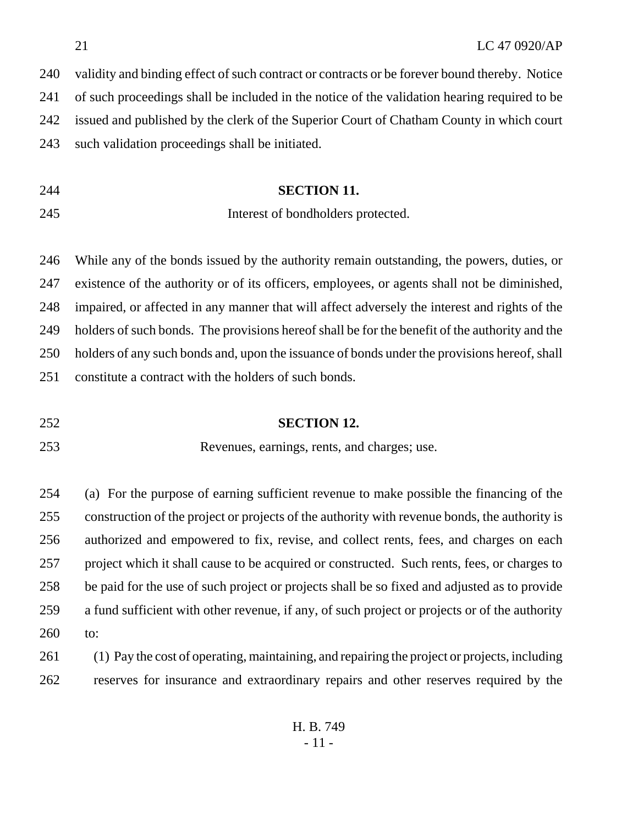| 244 | <b>SECTION 11.</b>                                                                            |
|-----|-----------------------------------------------------------------------------------------------|
| 243 | such validation proceedings shall be initiated.                                               |
| 242 | issued and published by the clerk of the Superior Court of Chatham County in which court      |
| 241 | of such proceedings shall be included in the notice of the validation hearing required to be  |
| 240 | validity and binding effect of such contract or contracts or be forever bound thereby. Notice |

| Interest of bondholders protected. |
|------------------------------------|
|                                    |

 While any of the bonds issued by the authority remain outstanding, the powers, duties, or existence of the authority or of its officers, employees, or agents shall not be diminished, impaired, or affected in any manner that will affect adversely the interest and rights of the holders of such bonds. The provisions hereof shall be for the benefit of the authority and the holders of any such bonds and, upon the issuance of bonds under the provisions hereof, shall constitute a contract with the holders of such bonds.

### **SECTION 12.**

Revenues, earnings, rents, and charges; use.

 (a) For the purpose of earning sufficient revenue to make possible the financing of the construction of the project or projects of the authority with revenue bonds, the authority is authorized and empowered to fix, revise, and collect rents, fees, and charges on each project which it shall cause to be acquired or constructed. Such rents, fees, or charges to be paid for the use of such project or projects shall be so fixed and adjusted as to provide a fund sufficient with other revenue, if any, of such project or projects or of the authority to:

 (1) Pay the cost of operating, maintaining, and repairing the project or projects, including reserves for insurance and extraordinary repairs and other reserves required by the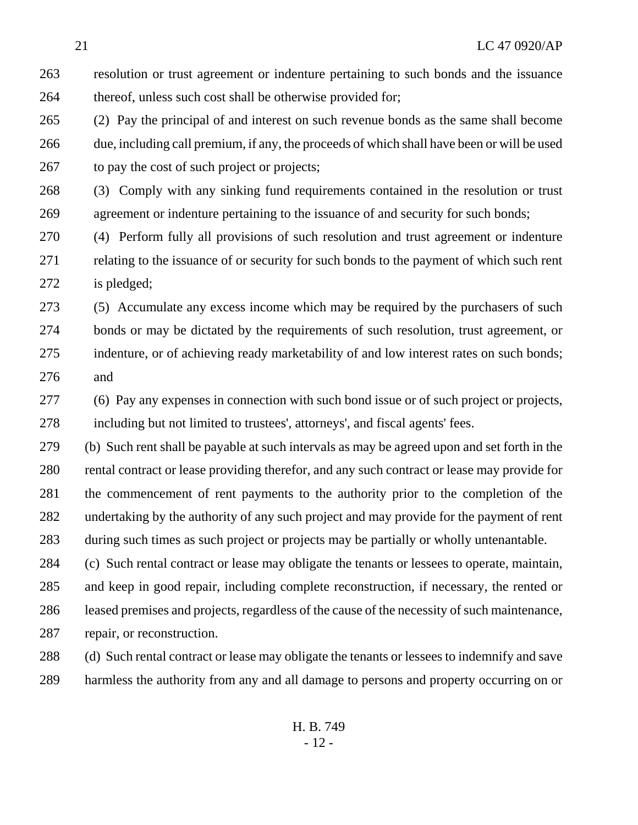resolution or trust agreement or indenture pertaining to such bonds and the issuance 264 thereof, unless such cost shall be otherwise provided for;

 (2) Pay the principal of and interest on such revenue bonds as the same shall become due, including call premium, if any, the proceeds of which shall have been or will be used to pay the cost of such project or projects;

 (3) Comply with any sinking fund requirements contained in the resolution or trust agreement or indenture pertaining to the issuance of and security for such bonds;

 (4) Perform fully all provisions of such resolution and trust agreement or indenture relating to the issuance of or security for such bonds to the payment of which such rent is pledged;

 (5) Accumulate any excess income which may be required by the purchasers of such bonds or may be dictated by the requirements of such resolution, trust agreement, or indenture, or of achieving ready marketability of and low interest rates on such bonds; and

 (6) Pay any expenses in connection with such bond issue or of such project or projects, including but not limited to trustees', attorneys', and fiscal agents' fees.

 (b) Such rent shall be payable at such intervals as may be agreed upon and set forth in the rental contract or lease providing therefor, and any such contract or lease may provide for the commencement of rent payments to the authority prior to the completion of the undertaking by the authority of any such project and may provide for the payment of rent during such times as such project or projects may be partially or wholly untenantable.

 (c) Such rental contract or lease may obligate the tenants or lessees to operate, maintain, and keep in good repair, including complete reconstruction, if necessary, the rented or leased premises and projects, regardless of the cause of the necessity of such maintenance, repair, or reconstruction.

 (d) Such rental contract or lease may obligate the tenants or lessees to indemnify and save harmless the authority from any and all damage to persons and property occurring on or

> H. B. 749 - 12 -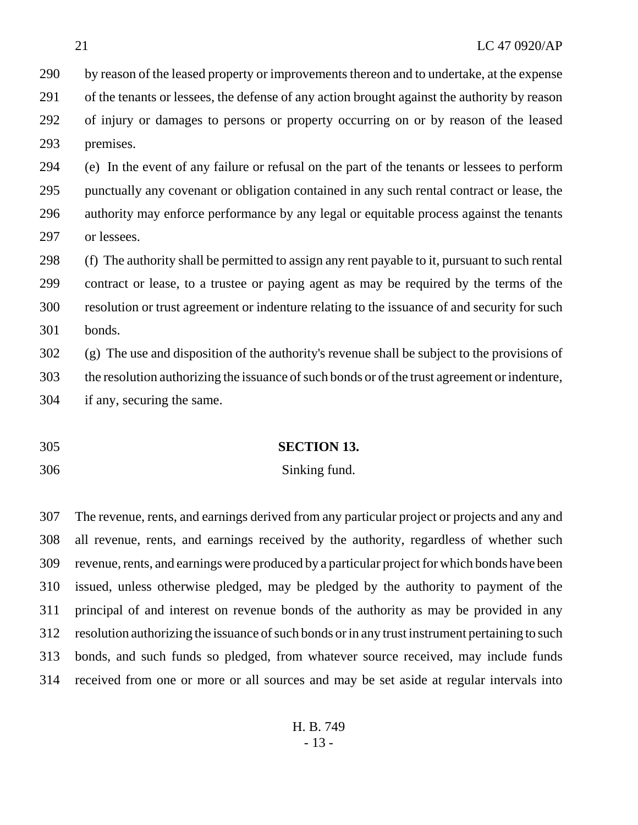by reason of the leased property or improvements thereon and to undertake, at the expense of the tenants or lessees, the defense of any action brought against the authority by reason of injury or damages to persons or property occurring on or by reason of the leased premises.

 (e) In the event of any failure or refusal on the part of the tenants or lessees to perform punctually any covenant or obligation contained in any such rental contract or lease, the authority may enforce performance by any legal or equitable process against the tenants or lessees.

 (f) The authority shall be permitted to assign any rent payable to it, pursuant to such rental contract or lease, to a trustee or paying agent as may be required by the terms of the resolution or trust agreement or indenture relating to the issuance of and security for such bonds.

 (g) The use and disposition of the authority's revenue shall be subject to the provisions of the resolution authorizing the issuance of such bonds or of the trust agreement or indenture, if any, securing the same.

# **SECTION 13.**

Sinking fund.

 The revenue, rents, and earnings derived from any particular project or projects and any and all revenue, rents, and earnings received by the authority, regardless of whether such revenue, rents, and earnings were produced by a particular project for which bonds have been issued, unless otherwise pledged, may be pledged by the authority to payment of the principal of and interest on revenue bonds of the authority as may be provided in any resolution authorizing the issuance of such bonds or in any trust instrument pertaining to such bonds, and such funds so pledged, from whatever source received, may include funds received from one or more or all sources and may be set aside at regular intervals into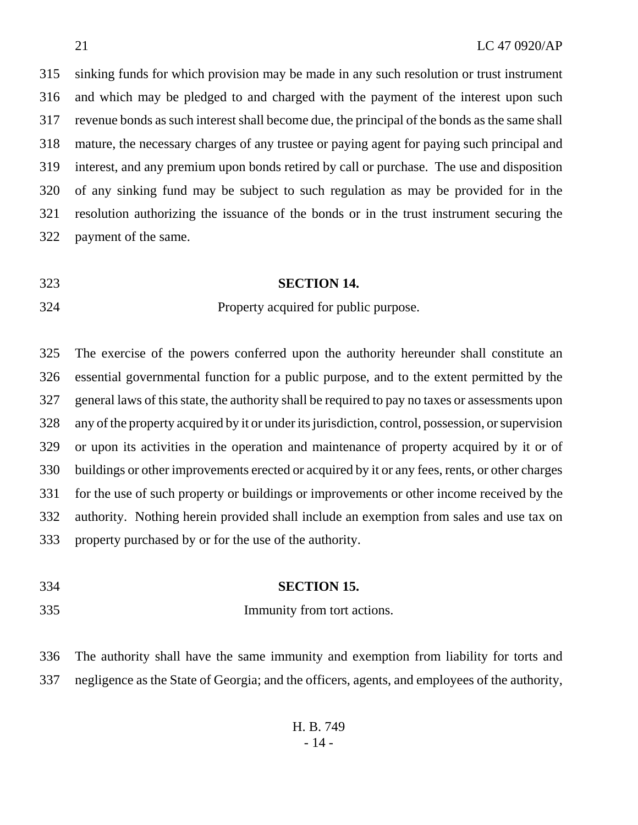sinking funds for which provision may be made in any such resolution or trust instrument and which may be pledged to and charged with the payment of the interest upon such revenue bonds as such interest shall become due, the principal of the bonds as the same shall mature, the necessary charges of any trustee or paying agent for paying such principal and interest, and any premium upon bonds retired by call or purchase. The use and disposition of any sinking fund may be subject to such regulation as may be provided for in the resolution authorizing the issuance of the bonds or in the trust instrument securing the payment of the same.

### **SECTION 14.**

Property acquired for public purpose.

 The exercise of the powers conferred upon the authority hereunder shall constitute an essential governmental function for a public purpose, and to the extent permitted by the general laws of this state, the authority shall be required to pay no taxes or assessments upon any of the property acquired by it or under its jurisdiction, control, possession, or supervision or upon its activities in the operation and maintenance of property acquired by it or of buildings or other improvements erected or acquired by it or any fees, rents, or other charges for the use of such property or buildings or improvements or other income received by the authority. Nothing herein provided shall include an exemption from sales and use tax on property purchased by or for the use of the authority.

- **SECTION 15.**
- Immunity from tort actions.

 The authority shall have the same immunity and exemption from liability for torts and negligence as the State of Georgia; and the officers, agents, and employees of the authority,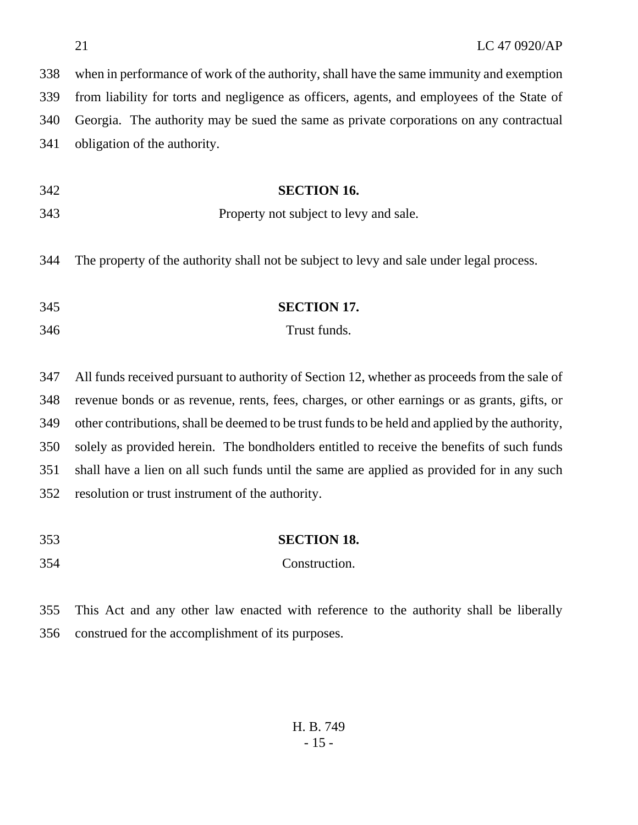when in performance of work of the authority, shall have the same immunity and exemption from liability for torts and negligence as officers, agents, and employees of the State of Georgia. The authority may be sued the same as private corporations on any contractual obligation of the authority.

 **SECTION 16.** Property not subject to levy and sale.

The property of the authority shall not be subject to levy and sale under legal process.

- **SECTION 17.**
- Trust funds.

 All funds received pursuant to authority of Section 12, whether as proceeds from the sale of revenue bonds or as revenue, rents, fees, charges, or other earnings or as grants, gifts, or other contributions, shall be deemed to be trust funds to be held and applied by the authority, solely as provided herein. The bondholders entitled to receive the benefits of such funds shall have a lien on all such funds until the same are applied as provided for in any such resolution or trust instrument of the authority.

- **SECTION 18.**
- Construction.

 This Act and any other law enacted with reference to the authority shall be liberally construed for the accomplishment of its purposes.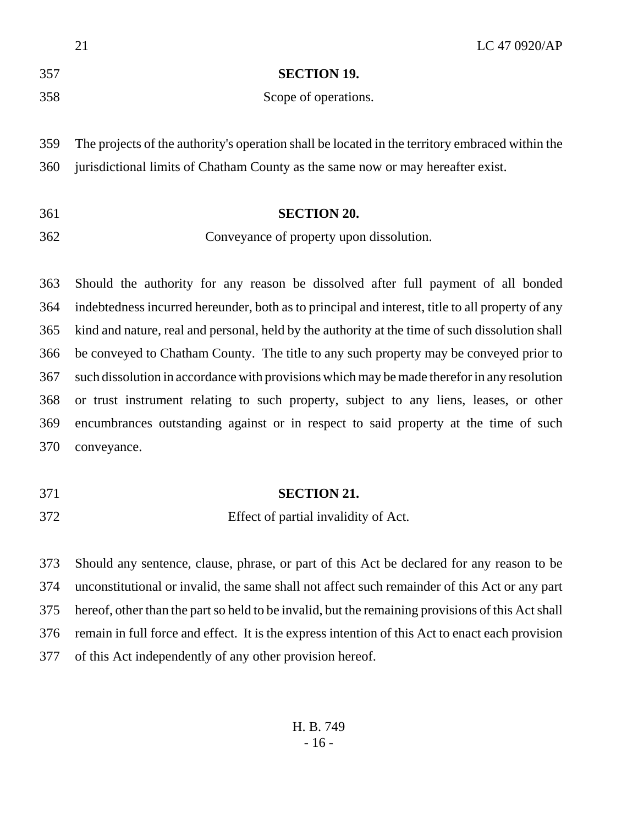|     | 21<br>LC 47 0920/AP                                                                              |
|-----|--------------------------------------------------------------------------------------------------|
| 357 | <b>SECTION 19.</b>                                                                               |
| 358 | Scope of operations.                                                                             |
|     |                                                                                                  |
| 359 | The projects of the authority's operation shall be located in the territory embraced within the  |
| 360 | jurisdictional limits of Chatham County as the same now or may hereafter exist.                  |
|     |                                                                                                  |
| 361 | <b>SECTION 20.</b>                                                                               |
| 362 | Conveyance of property upon dissolution.                                                         |
|     |                                                                                                  |
| 363 | Should the authority for any reason be dissolved after full payment of all bonded                |
| 364 | indebtedness incurred hereunder, both as to principal and interest, title to all property of any |
|     |                                                                                                  |
| 365 | kind and nature, real and personal, held by the authority at the time of such dissolution shall  |
| 366 | be conveyed to Chatham County. The title to any such property may be conveyed prior to           |

 such dissolution in accordance with provisions which may be made therefor in any resolution or trust instrument relating to such property, subject to any liens, leases, or other encumbrances outstanding against or in respect to said property at the time of such conveyance.

## **SECTION 21.**

Effect of partial invalidity of Act.

 Should any sentence, clause, phrase, or part of this Act be declared for any reason to be unconstitutional or invalid, the same shall not affect such remainder of this Act or any part hereof, other than the part so held to be invalid, but the remaining provisions of this Act shall remain in full force and effect. It is the express intention of this Act to enact each provision of this Act independently of any other provision hereof.